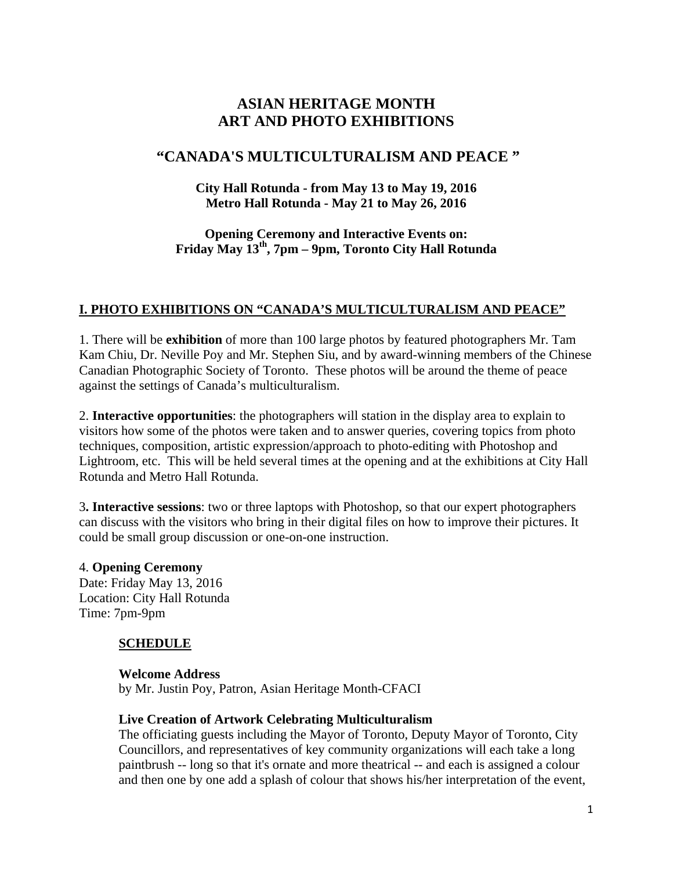# **ASIAN HERITAGE MONTH ART AND PHOTO EXHIBITIONS**

# **"CANADA'S MULTICULTURALISM AND PEACE "**

### **City Hall Rotunda - from May 13 to May 19, 2016 Metro Hall Rotunda - May 21 to May 26, 2016**

### **Opening Ceremony and Interactive Events on: Friday May 13th, 7pm – 9pm, Toronto City Hall Rotunda**

## **I. PHOTO EXHIBITIONS ON "CANADA'S MULTICULTURALISM AND PEACE"**

1. There will be **exhibition** of more than 100 large photos by featured photographers Mr. Tam Kam Chiu, Dr. Neville Poy and Mr. Stephen Siu, and by award-winning members of the Chinese Canadian Photographic Society of Toronto. These photos will be around the theme of peace against the settings of Canada's multiculturalism.

2. **Interactive opportunities**: the photographers will station in the display area to explain to visitors how some of the photos were taken and to answer queries, covering topics from photo techniques, composition, artistic expression/approach to photo-editing with Photoshop and Lightroom, etc. This will be held several times at the opening and at the exhibitions at City Hall Rotunda and Metro Hall Rotunda.

3**. Interactive sessions**: two or three laptops with Photoshop, so that our expert photographers can discuss with the visitors who bring in their digital files on how to improve their pictures. It could be small group discussion or one-on-one instruction.

#### 4. **Opening Ceremony**

Date: Friday May 13, 2016 Location: City Hall Rotunda Time: 7pm-9pm

## **SCHEDULE**

#### **Welcome Address**

by Mr. Justin Poy, Patron, Asian Heritage Month-CFACI

#### **Live Creation of Artwork Celebrating Multiculturalism**

The officiating guests including the Mayor of Toronto, Deputy Mayor of Toronto, City Councillors, and representatives of key community organizations will each take a long paintbrush -- long so that it's ornate and more theatrical -- and each is assigned a colour and then one by one add a splash of colour that shows his/her interpretation of the event,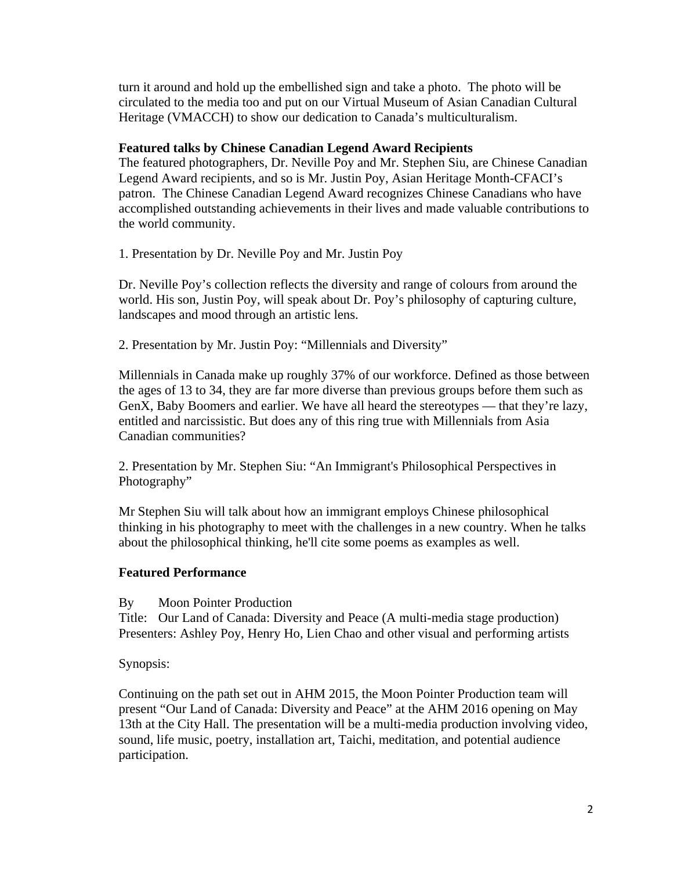turn it around and hold up the embellished sign and take a photo. The photo will be circulated to the media too and put on our Virtual Museum of Asian Canadian Cultural Heritage (VMACCH) to show our dedication to Canada's multiculturalism.

### **Featured talks by Chinese Canadian Legend Award Recipients**

The featured photographers, Dr. Neville Poy and Mr. Stephen Siu, are Chinese Canadian Legend Award recipients, and so is Mr. Justin Poy, Asian Heritage Month-CFACI's patron. The Chinese Canadian Legend Award recognizes Chinese Canadians who have accomplished outstanding achievements in their lives and made valuable contributions to the world community.

1. Presentation by Dr. Neville Poy and Mr. Justin Poy

Dr. Neville Poy's collection reflects the diversity and range of colours from around the world. His son, Justin Poy, will speak about Dr. Poy's philosophy of capturing culture, landscapes and mood through an artistic lens.

2. Presentation by Mr. Justin Poy: "Millennials and Diversity"

Millennials in Canada make up roughly 37% of our workforce. Defined as those between the ages of 13 to 34, they are far more diverse than previous groups before them such as GenX, Baby Boomers and earlier. We have all heard the stereotypes — that they're lazy, entitled and narcissistic. But does any of this ring true with Millennials from Asia Canadian communities?

2. Presentation by Mr. Stephen Siu: "An Immigrant's Philosophical Perspectives in Photography"

Mr Stephen Siu will talk about how an immigrant employs Chinese philosophical thinking in his photography to meet with the challenges in a new country. When he talks about the philosophical thinking, he'll cite some poems as examples as well.

#### **Featured Performance**

By Moon Pointer Production

Title: Our Land of Canada: Diversity and Peace (A multi-media stage production) Presenters: Ashley Poy, Henry Ho, Lien Chao and other visual and performing artists

Synopsis:

Continuing on the path set out in AHM 2015, the Moon Pointer Production team will present "Our Land of Canada: Diversity and Peace" at the AHM 2016 opening on May 13th at the City Hall. The presentation will be a multi-media production involving video, sound, life music, poetry, installation art, Taichi, meditation, and potential audience participation.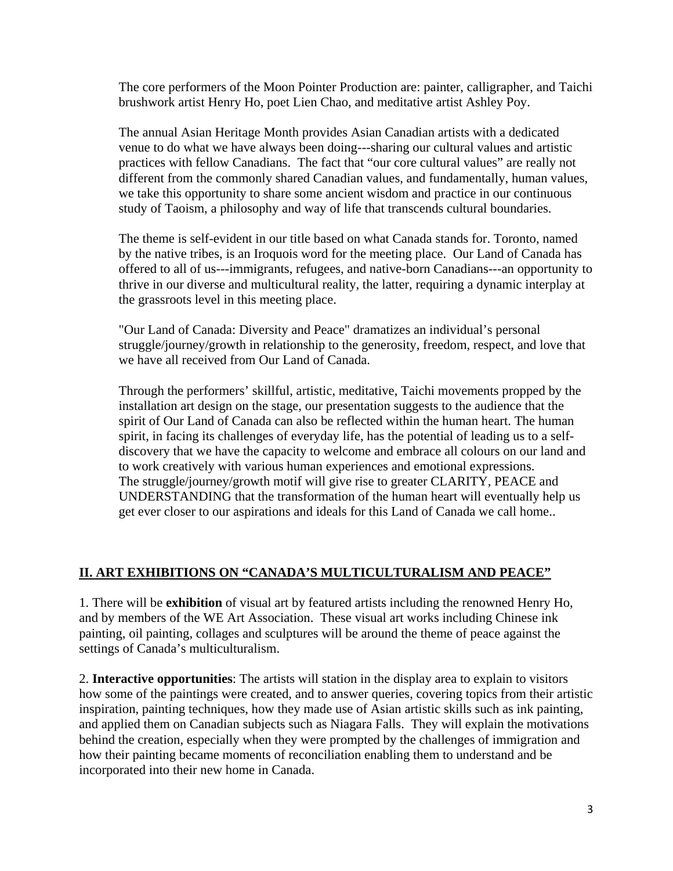The core performers of the Moon Pointer Production are: painter, calligrapher, and Taichi brushwork artist Henry Ho, poet Lien Chao, and meditative artist Ashley Poy.

The annual Asian Heritage Month provides Asian Canadian artists with a dedicated venue to do what we have always been doing---sharing our cultural values and artistic practices with fellow Canadians. The fact that "our core cultural values" are really not different from the commonly shared Canadian values, and fundamentally, human values, we take this opportunity to share some ancient wisdom and practice in our continuous study of Taoism, a philosophy and way of life that transcends cultural boundaries.

The theme is self-evident in our title based on what Canada stands for. Toronto, named by the native tribes, is an Iroquois word for the meeting place. Our Land of Canada has offered to all of us---immigrants, refugees, and native-born Canadians---an opportunity to thrive in our diverse and multicultural reality, the latter, requiring a dynamic interplay at the grassroots level in this meeting place.

"Our Land of Canada: Diversity and Peace" dramatizes an individual's personal struggle/journey/growth in relationship to the generosity, freedom, respect, and love that we have all received from Our Land of Canada.

Through the performers' skillful, artistic, meditative, Taichi movements propped by the installation art design on the stage, our presentation suggests to the audience that the spirit of Our Land of Canada can also be reflected within the human heart. The human spirit, in facing its challenges of everyday life, has the potential of leading us to a selfdiscovery that we have the capacity to welcome and embrace all colours on our land and to work creatively with various human experiences and emotional expressions. The struggle/journey/growth motif will give rise to greater CLARITY, PEACE and UNDERSTANDING that the transformation of the human heart will eventually help us get ever closer to our aspirations and ideals for this Land of Canada we call home..

## **II. ART EXHIBITIONS ON "CANADA'S MULTICULTURALISM AND PEACE"**

1. There will be **exhibition** of visual art by featured artists including the renowned Henry Ho, and by members of the WE Art Association. These visual art works including Chinese ink painting, oil painting, collages and sculptures will be around the theme of peace against the settings of Canada's multiculturalism.

2. **Interactive opportunities**: The artists will station in the display area to explain to visitors how some of the paintings were created, and to answer queries, covering topics from their artistic inspiration, painting techniques, how they made use of Asian artistic skills such as ink painting, and applied them on Canadian subjects such as Niagara Falls. They will explain the motivations behind the creation, especially when they were prompted by the challenges of immigration and how their painting became moments of reconciliation enabling them to understand and be incorporated into their new home in Canada.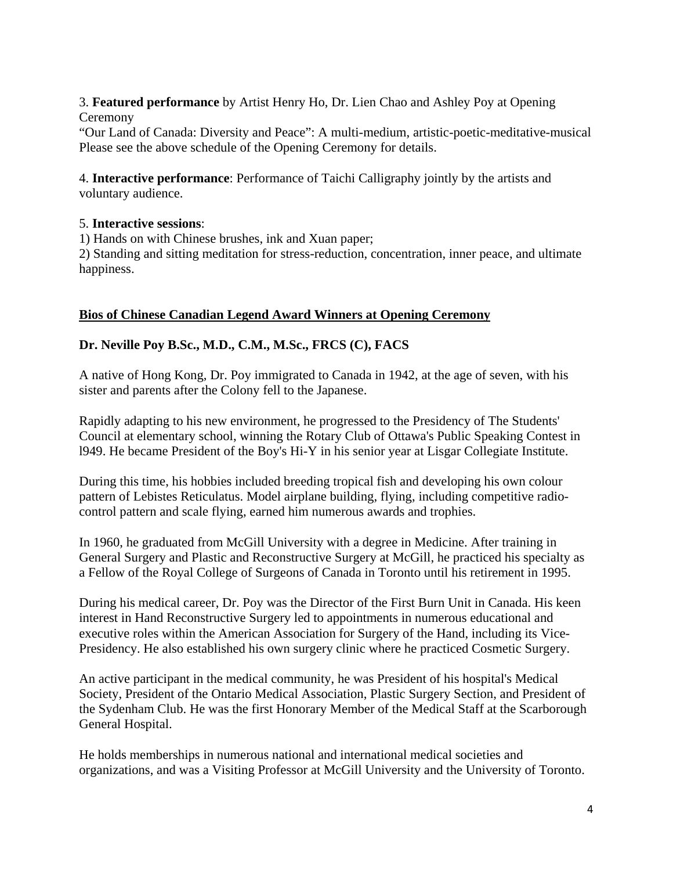3. **Featured performance** by Artist Henry Ho, Dr. Lien Chao and Ashley Poy at Opening **Ceremony** 

"Our Land of Canada: Diversity and Peace": A multi-medium, artistic-poetic-meditative-musical Please see the above schedule of the Opening Ceremony for details.

4. **Interactive performance**: Performance of Taichi Calligraphy jointly by the artists and voluntary audience.

## 5. **Interactive sessions**:

1) Hands on with Chinese brushes, ink and Xuan paper;

2) Standing and sitting meditation for stress-reduction, concentration, inner peace, and ultimate happiness.

## **Bios of Chinese Canadian Legend Award Winners at Opening Ceremony**

# **Dr. Neville Poy B.Sc., M.D., C.M., M.Sc., FRCS (C), FACS**

A native of Hong Kong, Dr. Poy immigrated to Canada in 1942, at the age of seven, with his sister and parents after the Colony fell to the Japanese.

Rapidly adapting to his new environment, he progressed to the Presidency of The Students' Council at elementary school, winning the Rotary Club of Ottawa's Public Speaking Contest in l949. He became President of the Boy's Hi-Y in his senior year at Lisgar Collegiate Institute.

During this time, his hobbies included breeding tropical fish and developing his own colour pattern of Lebistes Reticulatus. Model airplane building, flying, including competitive radiocontrol pattern and scale flying, earned him numerous awards and trophies.

In 1960, he graduated from McGill University with a degree in Medicine. After training in General Surgery and Plastic and Reconstructive Surgery at McGill, he practiced his specialty as a Fellow of the Royal College of Surgeons of Canada in Toronto until his retirement in 1995.

During his medical career, Dr. Poy was the Director of the First Burn Unit in Canada. His keen interest in Hand Reconstructive Surgery led to appointments in numerous educational and executive roles within the American Association for Surgery of the Hand, including its Vice-Presidency. He also established his own surgery clinic where he practiced Cosmetic Surgery.

An active participant in the medical community, he was President of his hospital's Medical Society, President of the Ontario Medical Association, Plastic Surgery Section, and President of the Sydenham Club. He was the first Honorary Member of the Medical Staff at the Scarborough General Hospital.

He holds memberships in numerous national and international medical societies and organizations, and was a Visiting Professor at McGill University and the University of Toronto.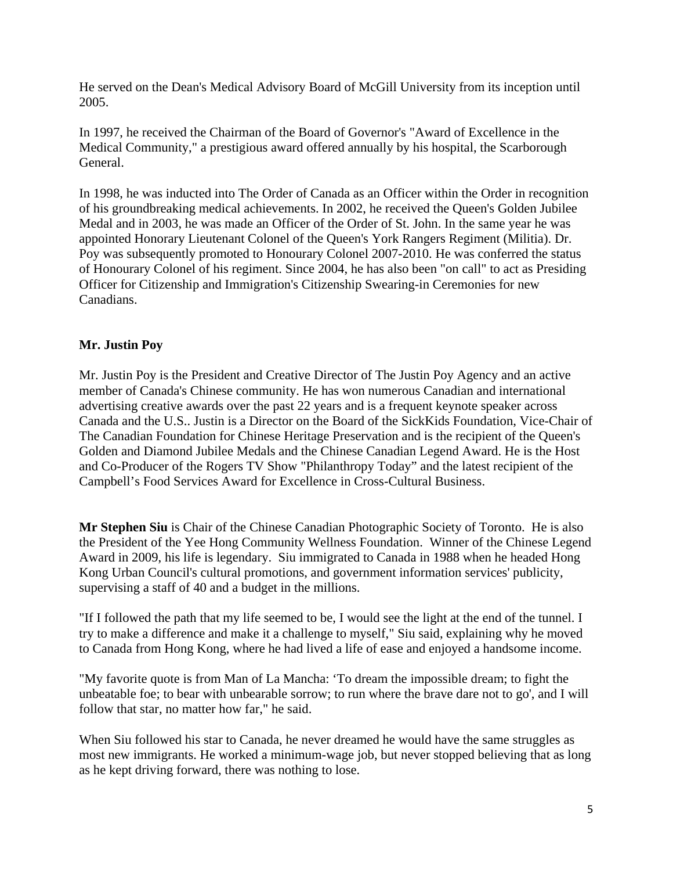He served on the Dean's Medical Advisory Board of McGill University from its inception until 2005.

In 1997, he received the Chairman of the Board of Governor's "Award of Excellence in the Medical Community," a prestigious award offered annually by his hospital, the Scarborough General.

In 1998, he was inducted into The Order of Canada as an Officer within the Order in recognition of his groundbreaking medical achievements. In 2002, he received the Queen's Golden Jubilee Medal and in 2003, he was made an Officer of the Order of St. John. In the same year he was appointed Honorary Lieutenant Colonel of the Queen's York Rangers Regiment (Militia). Dr. Poy was subsequently promoted to Honourary Colonel 2007-2010. He was conferred the status of Honourary Colonel of his regiment. Since 2004, he has also been "on call" to act as Presiding Officer for Citizenship and Immigration's Citizenship Swearing-in Ceremonies for new Canadians.

## **Mr. Justin Poy**

Mr. Justin Poy is the President and Creative Director of The Justin Poy Agency and an active member of Canada's Chinese community. He has won numerous Canadian and international advertising creative awards over the past 22 years and is a frequent keynote speaker across Canada and the U.S.. Justin is a Director on the Board of the SickKids Foundation, Vice-Chair of The Canadian Foundation for Chinese Heritage Preservation and is the recipient of the Queen's Golden and Diamond Jubilee Medals and the Chinese Canadian Legend Award. He is the Host and Co-Producer of the Rogers TV Show "Philanthropy Today" and the latest recipient of the Campbell's Food Services Award for Excellence in Cross-Cultural Business.

**Mr Stephen Siu** is Chair of the Chinese Canadian Photographic Society of Toronto. He is also the President of the Yee Hong Community Wellness Foundation. Winner of the Chinese Legend Award in 2009, his life is legendary. Siu immigrated to Canada in 1988 when he headed Hong Kong Urban Council's cultural promotions, and government information services' publicity, supervising a staff of 40 and a budget in the millions.

"If I followed the path that my life seemed to be, I would see the light at the end of the tunnel. I try to make a difference and make it a challenge to myself," Siu said, explaining why he moved to Canada from Hong Kong, where he had lived a life of ease and enjoyed a handsome income.

"My favorite quote is from Man of La Mancha: 'To dream the impossible dream; to fight the unbeatable foe; to bear with unbearable sorrow; to run where the brave dare not to go', and I will follow that star, no matter how far," he said.

When Siu followed his star to Canada, he never dreamed he would have the same struggles as most new immigrants. He worked a minimum-wage job, but never stopped believing that as long as he kept driving forward, there was nothing to lose.